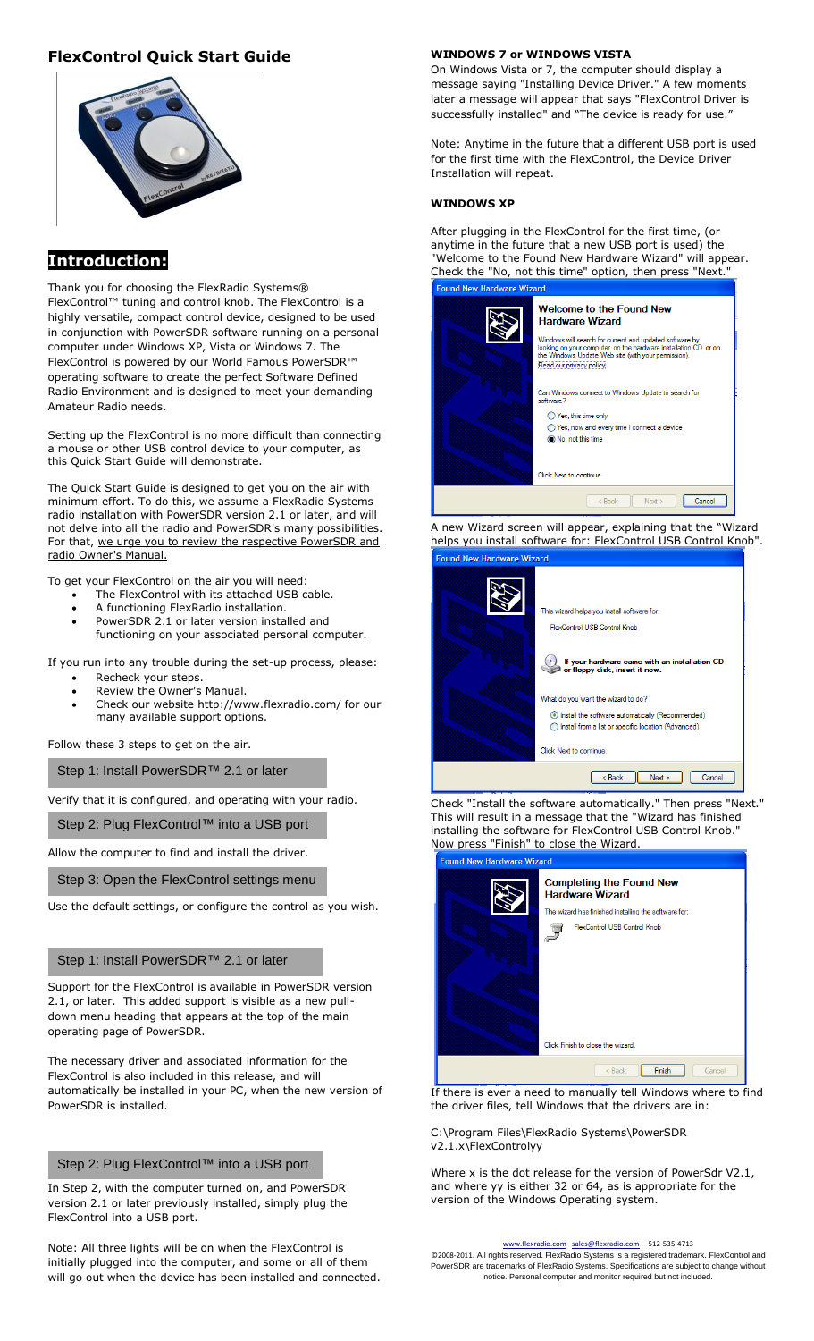## **FlexControl Quick Start Guide**



## **Introduction:**

Thank you for choosing the FlexRadio Systems® FlexControl™ tuning and control knob. The FlexControl is a highly versatile, compact control device, designed to be used in conjunction with PowerSDR software running on a personal computer under Windows XP, Vista or Windows 7. The FlexControl is powered by our World Famous PowerSDR™ operating software to create the perfect Software Defined Radio Environment and is designed to meet your demanding Amateur Radio needs.

Setting up the FlexControl is no more difficult than connecting a mouse or other USB control device to your computer, as this Quick Start Guide will demonstrate.

The Quick Start Guide is designed to get you on the air with minimum effort. To do this, we assume a FlexRadio Systems radio installation with PowerSDR version 2.1 or later, and will not delve into all the radio and PowerSDR's many possibilities. For that, we urge you to review the respective PowerSDR and radio Owner's Manual.

To get your FlexControl on the air you will need:

- The FlexControl with its attached USB cable.
- A functioning FlexRadio installation.

 PowerSDR 2.1 or later version installed and functioning on your associated personal computer.

If you run into any trouble during the set-up process, please:

- Recheck your steps.
- Review the Owner's Manual.
- Check our website http://www.flexradio.com/ for our many available support options.

Follow these 3 steps to get on the air.

Step 1: Install PowerSDR™ 2.1 or later

Verify that it is configured, and operating with your radio.

Step 2: Plug FlexControl™ into a USB port

Allow the computer to find and install the driver.

Step 3: Open the FlexControl settings menu

Use the default settings, or configure the control as you wish.

#### Step 1: Install PowerSDR™ 2.1 or later

Support for the FlexControl is available in PowerSDR version 2.1, or later. This added support is visible as a new pulldown menu heading that appears at the top of the main operating page of PowerSDR.

The necessary driver and associated information for the FlexControl is also included in this release, and will automatically be installed in your PC, when the new version of PowerSDR is installed.

### Step 2: Plug FlexControl™ into a USB port

In Step 2, with the computer turned on, and PowerSDR version 2.1 or later previously installed, simply plug the FlexControl into a USB port.

Note: All three lights will be on when the FlexControl is initially plugged into the computer, and some or all of them will go out when the device has been installed and connected.

#### **WINDOWS 7 or WINDOWS VISTA**

On Windows Vista or 7, the computer should display a message saying "Installing Device Driver." A few moments later a message will appear that says "FlexControl Driver is successfully installed" and "The device is ready for use."

Note: Anytime in the future that a different USB port is used for the first time with the FlexControl, the Device Driver Installation will repeat.

#### **WINDOWS XP**

After plugging in the FlexControl for the first time, (or anytime in the future that a new USB port is used) the "Welcome to the Found New Hardware Wizard" will appear. Check the "No, not this time" option, then press "Next." **Found New Hardware Wizard** 



A new Wizard screen will appear, explaining that the "Wizard helps you install software for: FlexControl USB Control Knob".

| This wizard helps you install software for:<br>FlexControl USB Control Knob<br>If your hardware came with an installation CD<br>or floppy disk, insert it now.           |  |
|--------------------------------------------------------------------------------------------------------------------------------------------------------------------------|--|
| What do you want the wizard to do?<br>Install the software automatically (Recommended)<br>Install from a list or specific location (Advanced)<br>Click Next to continue. |  |
| < Back<br>Next<br>Cancel                                                                                                                                                 |  |

Check "Install the software automatically." Then press "Next." This will result in a message that the "Wizard has finished installing the software for FlexControl USB Control Knob." Now press "Finish" to close the Wizard.

| <b>I</b> valled now that aware wizard |                                                           |  |  |
|---------------------------------------|-----------------------------------------------------------|--|--|
|                                       | <b>Completing the Found New</b><br><b>Hardware Wizard</b> |  |  |
|                                       | The wizard has finished installing the software for:      |  |  |
|                                       | FlexControl USB Control Knob                              |  |  |
|                                       | Click Finish to close the wizard.                         |  |  |
|                                       | Finish<br>$<$ Back<br>Cancel                              |  |  |

If there is ever a need to manually tell Windows where to find the driver files, tell Windows that the drivers are in:

C:\Program Files\FlexRadio Systems\PowerSDR v2.1.x\FlexControlyy

Where x is the dot release for the version of PowerSdr V2.1, and where yy is either 32 or 64, as is appropriate for the version of the Windows Operating system.

#### [www.flexradio.com](http://www.flexradio.com/) [sales@flexradio.com](mailto:sales@flexradio.com) 512-535-4713

©2008-2011. All rights reserved. FlexRadio Systems is a registered trademark. FlexControl and PowerSDR are trademarks of FlexRadio Systems. Specifications are subject to change without notice. Personal computer and monitor required but not included.